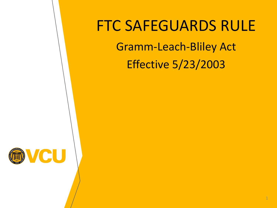#### FTC SAFEGUARDS RULE Gramm-Leach-Bliley Act

Effective 5/23/2003

1

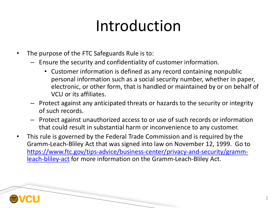# Introduction

- The purpose of the FTC Safeguards Rule is to:
	- [Ensure the security and confidentiality of customer information.](https://www.ftc.gov/tips-advice/business-center/privacy-and-security/gramm-leach-bliley-act)
		- Customer information is defined as any record containing nonpub personal information such as a social security number, whether in electronic, or other form, that is handled or maintained by or on b VCU or its affiliates.
	- Protect against any anticipated threats or hazards to the security or integrity of such records.
	- Protect against unauthorized access to or use of such records or inform that could result in substantial harm or inconvenience to any custome
- This rule is governed by the Federal Trade Commission and is required by t Gramm-Leach-Bliley Act that was signed into law on November 12, 1999. https://www.ftc.gov/tips-advice/business-center/privacy-and-security/gra leach-bliley-act for more information on the Gramm-Leach-Bliley Act.

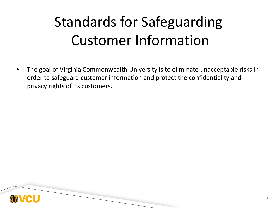#### Standards for Safeguarding Customer Information

• The goal of Virginia Commonwealth University is to eliminate unacceptable risks in order to safeguard customer information and protect the confidentiality and privacy rights of its customers.

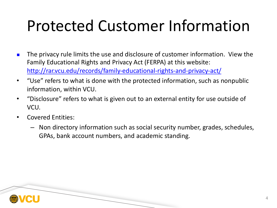### Protected Customer Information

- n The privacy rule limits the use and disclosure of customer information. View Family Educational Rights and Privacy Act (FERPA) at this website: http://rar.vcu.edu/records/family-educational-rights-and-privacy-act/
- "Use" refers to what is done with the protected information, such as nonp information, within VCU.
- "Disclosure" refers to what is given out to an external entity for use outsid VCU.
- Covered Entities:
	- Non directory information such as social security number, grades, sche GPAs, bank account numbers, and academic standing.

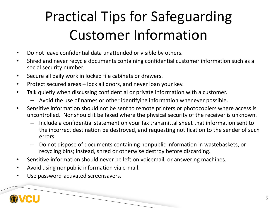#### Practical Tips for Safeguarding Customer Information

- Do not leave confidential data unattended or visible by others.
- Shred and never recycle documents containing confidential customer information such as a social security number.
- Secure all daily work in locked file cabinets or drawers.
- Protect secured areas lock all doors, and never loan your key.
- Talk quietly when discussing confidential or private information with a customer.
	- Avoid the use of names or other identifying information whenever possible.
- Sensitive information should not be sent to remote printers or photocopiers where access is uncontrolled. Nor should it be faxed where the physical security of the receiver is unknown.
	- Include a confidential statement on your fax transmittal sheet that information sent to the incorrect destination be destroyed, and requesting notification to the sender of such errors.
	- Do not dispose of documents containing nonpublic information in wastebaskets, or recycling bins; instead, shred or otherwise destroy before discarding.
- Sensitive information should never be left on voicemail, or answering machines.
- Avoid using nonpublic information via e-mail.
- Use password-activated screensavers.

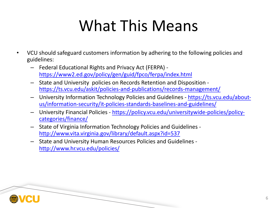## [What This Means](https://policy.vcu.edu/universitywide-policies/policy-categories/finance/)

- VCU [should safeguard customers info](http://www.hr.vcu.edu/policies/)rmation by adhering to the following policies a guidelines:
	- Federal Educational Rights and Privacy Act (FERPA) https://www2.ed.gov/policy/gen/guid/fpco/ferpa/index.html
	- State and University policies on Records Retention and Disposition https://ts.vcu.edu/askit/policies-and-publications/records-management/
	- University Information Technology Policies and Guidelines https://ts.vcu.edu/aboutus/information-security/it-policies-standards-baselines-and-guidelines/
	- University Financial Policies https://policy.vcu.edu/universitywide-policies/po categories/finance/
	- State of Virginia Information Technology Policies and Guidelines http://www.vita.virginia.gov/library/default.aspx?id=537
	- State and University Human Resources Policies and Guidelines http://www.hr.vcu.edu/policies/